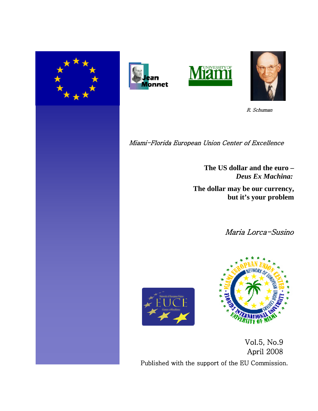







R. Schuman

Miami-Florida European Union Center of Excellence

**The US dollar and the euro –** *Deus Ex Machina:*

 **The dollar may be our currency, but it's your problem**

Maria Lorca-Susino





 Vol.5, No.9 April 2008 Published with the support of the EU Commission.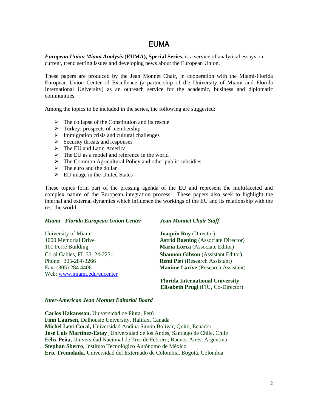# EUMA

*European Union Miami Analysis* **(EUMA), Special Series,** is a service of analytical essays on current, trend setting issues and developing news about the European Union.

These papers are produced by the Jean Monnet Chair, in cooperation with the Miami-Florida European Union Center of Excellence (a partnership of the University of Miami and Florida International University) as an outreach service for the academic, business and diplomatic communities.

Among the topics to be included in the series, the following are suggested:

- $\triangleright$  The collapse of the Constitution and its rescue
- $\triangleright$  Turkey: prospects of membership
- $\triangleright$  Immigration crisis and cultural challenges
- $\triangleright$  Security threats and responses
- $\triangleright$  The EU and Latin America
- $\triangleright$  The EU as a model and reference in the world
- $\triangleright$  The Common Agricultural Policy and other public subsidies
- $\triangleright$  The euro and the dollar
- $\triangleright$  EU image in the United States

These topics form part of the pressing agenda of the EU and represent the multifaceted and complex nature of the European integration process. These papers also seek to highlight the internal and external dynamics which influence the workings of the EU and its relationship with the rest the world.

## *Miami - Florida European Union Center Jean Monnet Chair Staff*

University of Miami **Joaquín Roy** (Director) Phone: 305-284-3266 **Remi Piet** (Research Assistant) Web: [www.miami.edu/eucenter](http://www.miami.edu/eucenter) 

1000 Memorial Drive **Astrid Boening** (Associate Director) 101 Ferré Building **María Lorca** (Associate Editor) Coral Gables, FL 33124-2231 **Shannon Gibson** (Assistant Editor) Fax: (305) 284 4406 **Maxime Larive** (Research Assistant)

## **Florida International University Elisabeth Prugl** (FIU, Co-Director)

## *Inter-American Jean Monnet Editorial Board*

**Carlos Hakansson,** Universidad de Piura, Perú **Finn Laursen,** Dalhousie University, Halifax, Canada **Michel Levi-Coral,** Universidad Andina Simón Bolívar, Quito, Ecuador **José Luis Martínez-Estay¸** Universidad de los Andes, Santiago de Chile, Chile **Félix Peña,** Universidad Nacional de Tres de Febrero, Buenos Aires, Argentina **Stephan Sberro**, Instituto Tecnológico Autónomo de México **Eric Tremolada**, Universidad del Externado de Colombia, Bogotá, Colombia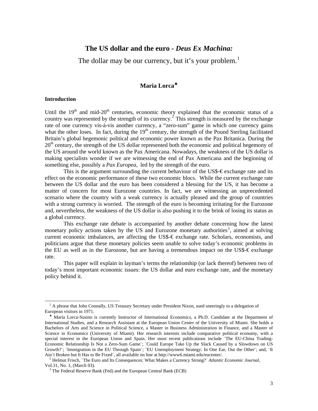## **The US dollar and the euro -** *Deus Ex Machina:*

The dollar may be our currency, but it's your problem.<sup>[1](#page-2-0)</sup>

## **Maria Lorca**[♣](#page-2-1)

## **Introduction**

l

Until the  $19<sup>th</sup>$  and mid-20<sup>th</sup> centuries, economic theory explained that the economic status of a country was represented by the strength of its currency.<sup>[2](#page-2-2)</sup> This strength is measured by the exchange rate of one currency vis-á-vis another currency, a "zero-sum" game in which one currency gains what the other loses. In fact, during the  $19<sup>th</sup>$  century, the strength of the Pound Sterling facilitated Britain's global hegemonic political and economic power known as the Pax Britanica. During the  $20<sup>th</sup>$  century, the strength of the US dollar represented both the economic and political hegemony of the US around the world known as the Pax Americana. Nowadays, the weakness of the US dollar is making specialists wonder if we are witnessing the end of Pax Americana and the beginning of something else, possibly a *Pax Europea*, led by the strength of the euro.

This is the argument surrounding the current behaviour of the US\$- $\epsilon$  exchange rate and its effect on the economic performance of these two economic blocs. While the current exchange rate between the US dollar and the euro has been considered a blessing for the US, it has become a matter of concern for most Eurozone countries. In fact, we are witnessing an unprecedented scenario where the country with a weak currency is actually pleased and the group of countries with a strong currency is worried. The strength of the euro is becoming irritating for the Eurozone and, nevertheless, the weakness of the US dollar is also pushing it to the brink of losing its status as a global currency.

This exchange rate debate is accompanied by another debate concerning how the latest monetary policy actions taken by the US and Eurozone monetary authorities<sup>[3](#page-2-3)</sup>, aimed at solving current economic imbalances, are affecting the US\$-€ exchange rate. Scholars, economists, and politicians argue that these monetary policies seem unable to solve today's economic problems in the EU as well as in the Eurozone, but are having a tremendous impact on the US\$- $\epsilon$  exchange rate.

This paper will explain in layman's terms the relationship (or lack thereof) between two of today's most important economic issues: the US dollar and euro exchange rate, and the monetary policy behind it.

<span id="page-2-0"></span><sup>&</sup>lt;sup>1</sup> A phrase that John Connally, US Treasury Secretary under President Nixon, used sneeringly to a delegation of European visitors in 1971.

<span id="page-2-1"></span>♣ María Lorca-Susino is currently Instructor of International Economics, a Ph.D. Candidate at the Department of International Studies, and a Research Assistant at the European Union Center of the University of Miami. She holds a Bachelors of Arts and Science in Political Science, a Master in Business Administration in Finance, and a Master of Science in Economics (University of Miami). Her research interests include comparative political economy, with a special interest in the European Union and Spain. Her most recent publications include "The EU-China Trading-Economic Relationship Is Not a Zero-Sum Game¨; ¨Could Europe Take Up the Slack Caused by a Slowdown on US Growth?¨; ¨Immigration in the EU Through Spain¨; ¨EU Unemployment Strategy: In One Ear, Out the Other¨; and, ¨It Ain´t Broken but It Has to Be Fixed¨, all available on line at http://www6.miami.edu/eucenter/.

<span id="page-2-2"></span><sup>2</sup> Helmut Frisch, ¨The Euro and Its Consequences: What Makes a Currency Strong?¨ *Atlantic Economic Journal*, Vol.31, No. 1, (March 03).

<span id="page-2-3"></span><sup>&</sup>lt;sup>3</sup> The Federal Reserve Bank (Fed) and the European Central Bank (ECB)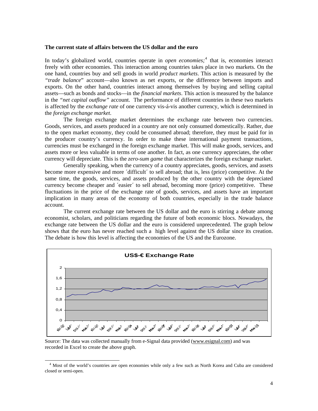## **The current state of affairs between the US dollar and the euro**

In today's globalized world, countries operate in *open economies*;<sup>[4](#page-3-0)</sup> that is, economies interact freely with other economies. This interaction among countries takes place in two markets. On the one hand, countries buy and sell goods in world *product markets*. This action is measured by the *"trade balance*" account—also known as net exports, or the difference between imports and exports. On the other hand, countries interact among themselves by buying and selling capital assets—such as bonds and stocks—in the *financial markets*. This action is measured by the balance in the *"net capital outflow"* account. The performance of different countries in these two markets is affected by the *exchange rate* of one currency vis-á-vis another currency, which is determined in the *foreign exchange market*.

The foreign exchange market determines the exchange rate between two currencies. Goods, services, and assets produced in a country are not only consumed domestically. Rather, due to the open market economy, they could be consumed abroad; therefore, they must be paid for in the producer country's currency. In order to make these international payment transactions, currencies must be exchanged in the foreign exchange market. This will make goods, services, and assets more or less valuable in terms of one another. In fact, as one currency appreciates, the other currency will depreciate. This is the *zero-sum game* that characterizes the foreign exchange market.

Generally speaking, when the currency of a country appreciates, goods, services, and assets become more expensive and more ´difficult´ to sell abroad; that is, less (price) competitive. At the same time, the goods, services, and assets produced by the other country with the depreciated currency become cheaper and ´easier´ to sell abroad, becoming more (price) competitive. These fluctuations in the price of the exchange rate of goods, services, and assets have an important implication in many areas of the economy of both countries, especially in the trade balance account.

The current exchange rate between the US dollar and the euro is stirring a debate among economist, scholars, and politicians regarding the future of both economic blocs. Nowadays, the exchange rate between the US dollar and the euro is considered unprecedented. The graph below shows that the euro has never reached such a high level against the US dollar since its creation. The debate is how this level is affecting the economies of the US and the Eurozone.



Source: The data was collected manually from e-Signal data provided [\(www.esignal.com\)](http://www.esignal.com/) and was recorded in Excel to create the above graph.

<span id="page-3-0"></span><sup>&</sup>lt;sup>4</sup> Most of the world's countries are open economies while only a few such as North Korea and Cuba are considered closed or semi-open.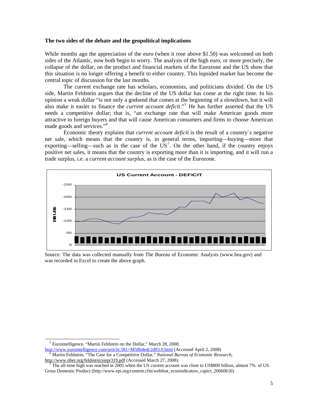## **The two sides of the debate and the geopolitical implications**

While months ago the appreciation of the euro (when it rose above \$1.50) was welcomed on both sides of the Atlantic, now both begin to worry. The analysis of the high euro, or more precisely, the collapse of the dollar, on the product and financial markets of the Eurozone and the US show that this situation is no longer offering a benefit to either country. This lopsided market has become the central topic of discussion for the last months.

The current exchange rate has scholars, economists, and politicians divided. On the US side, Martin Feldstein argues that the decline of the US dollar has come at the right time. In his opinion a weak dollar "is not only a godsend that comes at the beginning of a slowdown, but it will also make it easier to finance the *current account deficit*."<sup>[5](#page-4-0)</sup> He has further asserted that the US needs a competitive dollar; that is, "an exchange rate that will make American goods more attractive to foreign buyers and that will cause American consumers and firms to choose American made goods and services."<sup>[6](#page-4-1)</sup>

Economic theory explains that *current account deficit* is the result of a country´s negative net sale, which means that the country is, in general terms, importing—buying—more that exporting—selling—such as in the case of the  $US^7$  $US^7$ . On the other hand, if the country enjoys positive net sales, it means that the country is exporting more than it is importing, and it will run a trade surplus, i.e. a *current account surplus*, as is the case of the Eurozone*.* 



Source: The data was collected manually from The Bureau of Economic Analysis (www.bea.gov) and was recorded in Excel to create the above graph.

<sup>&</sup>lt;sup>5</sup> Eurointelligence, "Martin Feldstein on the Dollar," March 28, 2008.

<span id="page-4-0"></span><http://www.eurointelligence.com/article.581+M50b4edc2d93.0.html> (Accessed April 2, 2008)  $\overline{6}$ Martin Feldstein, "The Case for a Competitive Dollar," *National Bureau of Economic Research*,

<span id="page-4-1"></span><http://www.nber.org/feldstein/siepr319.pdf> (Accessed March 27, 2008).

<span id="page-4-2"></span><sup>7</sup> The all-time high was reached in 2005 when the US current account was close to US\$800 billion, almost 7% of US Gross Domestic Product (http://www.epi.org/content.cfm/webfeat\_econindicators\_capict\_20060616)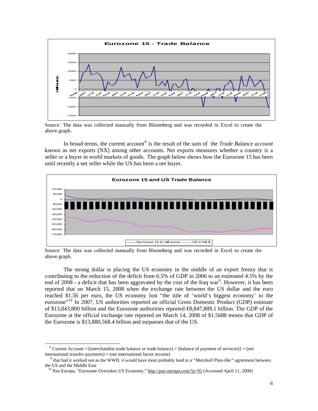

Source: The data was collected manually from Bloomberg and was recorded in Excel to create the above graph.

In broad terms, the current account<sup>[8](#page-5-0)</sup> is the result of the sum of the *Trade Balance account* known as net exports (NX) among other accounts. Net exports measures whether a country is a seller or a buyer in world markets of goods. The graph below shows how the Eurozone 15 has been until recently a net seller while the US has been a net buyer.



Source: The data was collected manually from Bloomberg and was recorded in Excel to create the above graph.

The strong dollar is placing the US economy in the middle of an export frenzy that is contributing to the reduction of the deficit from 6.5% of GDP in 2006 to an estimated 4.5% by the end of  $2008$  - a deficit that has been aggravated by the cost of the Iraq war<sup>[9](#page-5-1)</sup>. However, it has been reported that on March 15, 2008 when the exchange rate between the US dollar and the euro reached \$1.56 per euro, the US economy lost "the title of 'world's biggest economy' to the eurozone<sup>"[10](#page-5-2)</sup> In 2007, US authorities reported an official Gross Domestic Product (GDP) estimate of \$13,843,800 billion and the Eurozone authorities reported €8,847,889.1 billion. The GDP of the Eurozone at the official exchange rate reported on March 14, 2008 of \$1.5688 means that GDP of the Eurozone is \$13,880,568.4 billion and surpasses that of the US.

<span id="page-5-0"></span>l <sup>8</sup> Current Account ={(merchandise trade balance or trade balance) + (balance of payment of services)} + (net international transfer payments) + (net international factor income)

<span id="page-5-2"></span><span id="page-5-1"></span><sup>9</sup> that had it worked out as the WWII, it would have most probably lead to a *"Marshall Plan-like"* agreement between the US and the Middle East

<sup>&</sup>lt;sup>10</sup> Pax-Europa, "Eurozone Overtakes US Economy," <http://pax-europa.com/?p=91> (Accessed April 11, 2008)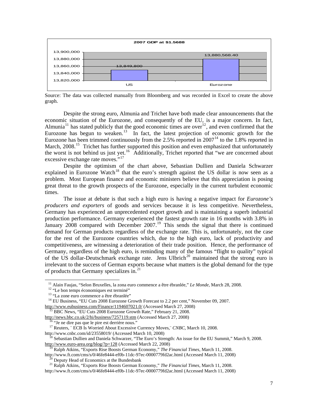

Source: The data was collected manually from Bloomberg and was recorded in Excel to create the above graph.

Despite the strong euro, Almunia and Trichet have both made clear announcements that the economic situation of the Eurozone, and consequently of the EU, is a major concern. In fact, Almunia<sup>[11](#page-6-0)</sup> has stated publicly that the good economic times are over<sup>[12](#page-6-1)</sup>, and even confirmed that the Eurozone has begun to weaken.<sup>[13](#page-6-2)</sup> In fact, the latest projection of economic growth for the Eurozone has been trimmed continuously from the  $2.5\%$  reported in  $2007<sup>14</sup>$  $2007<sup>14</sup>$  $2007<sup>14</sup>$  to the 1.8% reported in March, 2008.<sup>[15](#page-6-4)</sup> Trichet has further supported this position and even emphasized that unfortunately the worst is not behind us just yet.<sup>[16](#page-6-5)</sup> Additionally, Trichet reported that "we are concerned about excessive exchange rate moves."<sup>[17](#page-6-6)</sup>

Despite the optimism of the chart above, Sebastian Dullien and Daniela Schwarzer explained in Eurozone Watch<sup>[18](#page-6-7)</sup> that the euro's strength against the US dollar is now seen as a problem. Most European finance and economic ministers believe that this appreciation is posing great threat to the growth prospects of the Eurozone, especially in the current turbulent economic times.

The issue at debate is that such a high euro is having a negative impact for *Eurozone's producers and exporters* of goods and services because it is less competitive. Nevertheless, Germany has experienced an unprecedented export growth and is maintaining a superb industrial production performance. Germany experienced the fastest growth rate in 16 months with 3.8% in January 2008 compared with December 2007.<sup>[19](#page-6-8)</sup> This sends the signal that there is continued demand for German products regardless of the exchange rate. This is, unfortunately, not the case for the rest of the Eurozone countries which, due to the high euro, lack of productivity and competitiveness, are witnessing a deterioration of their trade position. Hence, the performance of Germany, regardless of the high euro, is reminding many of the famous "flight to quality" typical of the US dollar-Deutschmark exchange rate. Jens Ulbrich<sup>[20](#page-6-9)</sup> maintained that the strong euro is irrelevant to the success of German exports because what matters is the global demand for the type of products that Germany specializes in.<sup>[21](#page-6-10)</sup>

11 Alain Faujas, "Selon Bruxelles, la zona euro commence a être ébranlée," *Le Monde*, March 28, 2008.

<sup>&</sup>lt;sup>12</sup> "Le bon temps économiques est terminé"

<sup>&</sup>lt;sup>13</sup> "La zone euro commence a être ébranlée"

<span id="page-6-3"></span><span id="page-6-2"></span><span id="page-6-1"></span><span id="page-6-0"></span><sup>&</sup>lt;sup>14</sup> EU Business, "EU Cuts 2008 Eurozone Growth Forecast to 2.2 per cent," November 09, 2007. <http://www.eubusiness.com/Finance/1194607021.0/> (Accessed March 27, 2008)

<sup>&</sup>lt;sup>15</sup> BBC News, "EU Cuts 2008 Eurozone Growth Rate," February 21, 2008.

<span id="page-6-5"></span><span id="page-6-4"></span><http://news.bbc.co.uk/2/hi/business/7257119.stm> (Accessed March 27, 2008)

<sup>&</sup>lt;sup>16</sup> "Je ne dire pas que le pire est derrière nous."

<sup>&</sup>lt;sup>17</sup> Reuters, <sup>"</sup> ECB Is Worried About Excessive Currency Moves," *CNBC*, March 10, 2008.

<span id="page-6-6"></span>http://www.cnbc.com/id/23558019/ (Accessed March 10, 2008)

<span id="page-6-7"></span><sup>&</sup>lt;sup>18</sup> Sebastian Dullien and Daniela Schwarzer, "The Euro's Strength: An issue for the EU Summit," March 9, 2008. <http://www.euro-area.org/blog/?p=128>(Accessed March 22, 2008)

19 Ralph Atkins, "Exports Rise Boosts German Economy," *The Financial Times*, March 11, 2008.

<span id="page-6-9"></span><span id="page-6-8"></span>http://www.ft.com/cms/s/0/46fe8444-ef0b-11dc-97ec-0000779fd2ac.html (Accessed March 11, 2008) 20 Deputy Head of Economics at the Bundesbank

21 Ralph Atkins, "Exports Rise Boosts German Economy," *The Financial Times*, March 11, 2008.

<span id="page-6-10"></span>http://www.ft.com/cms/s/0/46fe8444-ef0b-11dc-97ec-0000779fd2ac.html (Accessed March 11, 2008)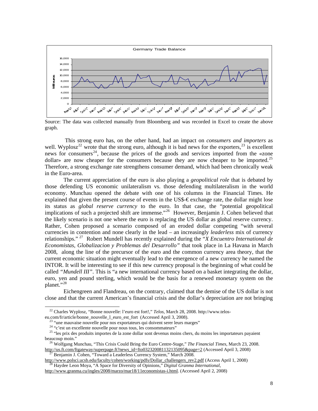

Source: The data was collected manually from Bloomberg and was recorded in Excel to create the above graph.

 This strong euro has, on the other hand, had an impact on *consumers and importers* as well. Wyplosz<sup>[22](#page-7-0)</sup> wrote that the strong euro, although it is bad news for the exporters,  $23$  is excellent news for consumers<sup>[24](#page-7-2)</sup>, because the prices of the goods and services imported from the «zone dollar» are now cheaper for the consumers because they are now cheaper to be imported.<sup>[25](#page-7-3)</sup> Therefore, a strong exchange rate strengthens consumer demand, which had been chronically weak in the Euro-area.

The current appreciation of the euro is also playing a *geopolitical role* that is debated by those defending US economic unilateralism vs. those defending multilateralism in the world economy. Munchau opened the debate with one of his columns in the Financial Times. He explained that given the present course of events in the US\$- $\epsilon$  exchange rate, the dollar might lose its status as *global reserve currency* to the euro. In that case, the "potential geopolitical implications of such a projected shift are immense."[26](#page-7-4) However, Benjamin J. Cohen believed that the likely scenario is not one where the euro is replacing the US dollar as global reserve currency. Rather, Cohen proposed a scenario composed of an eroded dollar competing "with several currencies in contention and none clearly in the lead – an increasingly *leaderless* mix of currency relationships." [27](#page-7-5) Robert Mundell has recently explained during the "*X Encuentro International de Economistas, Globalizacion y Problemas del Desarrollo"* that took place in La Havana in March 2008, along the line of the precursor of the euro and the common currency area theory, that the current economic situation might eventually lead to the emergence of a new currency he named the INTOR. It will be interesting to see if this new currency proposal is the beginning of what could be called *"Mundell III"*. This is "a new international currency based on a basket integrating the dollar, euro, yen and pound sterling, which would be the basis for a renewed monetary system on the planet."[28](#page-7-6)

Eichengreen and Flandreau, on the contrary, claimed that the demise of the US dollar is not close and that the current American's financial crisis and the dollar's depreciation are not bringing

22 Charles Wyplosz, "Bonne nouvelle: l'euro est fort!," *Telos*, March 28, 2008. http://www.telos-

<span id="page-7-1"></span><span id="page-7-0"></span>eu.com/fr/article/bonne\_nouvelle\_l\_euro\_est\_fort (Accessed April 3, 2008).

<sup>&</sup>lt;sup>23</sup> "une mauvaise nouvelle pour nos exportateurs qui doivent serer leurs marges"

<sup>&</sup>lt;sup>24</sup> "c'est un excellente nouvelle pour nous tous, les consommateurs"

<span id="page-7-3"></span><span id="page-7-2"></span><sup>&</sup>lt;sup>25</sup> "les prix des produits importes de la zone dollar sont devenus moins chers, du moins les importateurs payaient beaucoup moin."

<span id="page-7-4"></span>26 Wolfgang Munchau, "This Crisis Could Bring the Euro Centre-Stage," *The Financial Times*, March 23, 2008. [http://us.ft.com/ftgateway/superpage.ft?news\\_id=fto032320081132135095&page=2](http://us.ft.com/ftgateway/superpage.ft?news_id=fto032320081132135095&page=2) (Accessed April 3, 2008)

27 Benjamin J. Cohen, "Toward a Leaderless Currency System," March 2008.

<span id="page-7-6"></span><span id="page-7-5"></span>[http://www.polsci.ucsb.edu/faculty/cohen/working/pdfs/Dollar\\_challengers\\_rev2.pdf](http://www.polsci.ucsb.edu/faculty/cohen/working/pdfs/Dollar_challengers_rev2.pdf) (Access April 1, 2008) 28 Haydee Leon Moya, "A Space for Diversity of Opinions," *Digital Granma International*,

[http://www.granma.cu/ingles/2008/marzo/mar18/11economistas-i.html.](http://www.granma.cu/ingles/2008/marzo/mar18/11economistas-i.html) (Accessed April 2, 2008)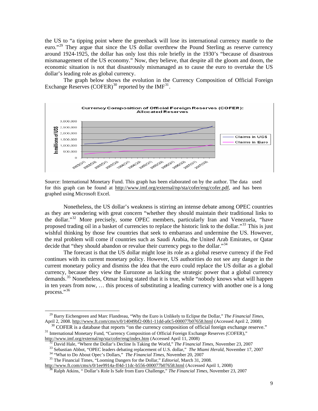the US to "a tipping point where the greenback will lose its international currency mantle to the euro."<sup>[29](#page-8-0)</sup> They argue that since the US dollar overthrew the Pound Sterling as reserve currency around 1924-1925, the dollar has only lost this role briefly in the 1930's "because of disastrous mismanagement of the US economy." Now, they believe, that despite all the gloom and doom, the economic situation is not that disastrously mismanaged as to cause the euro to overtake the US dollar's leading role as global currency.

The graph below shows the evolution in the Currency Composition of Official Foreign Exchange Reserves (COFER)<sup>[30](#page-8-1)</sup> reported by the  $IMF<sup>31</sup>$  $IMF<sup>31</sup>$  $IMF<sup>31</sup>$ .



Source: International Monetary Fund. This graph has been elaborated on by the author. The data used for this graph can be found at [http://www.imf.org/external/np/sta/cofer/eng/cofer.pdf,](http://www.imf.org/external/np/sta/cofer/eng/cofer.pdf) and has been graphed using Microsoft Excel.

Nonetheless, the US dollar's weakness is stirring an intense debate among OPEC countries as they are wondering with great concern "whether they should maintain their traditional links to the dollar."<sup>[32](#page-8-3)</sup> More precisely, some OPEC members, particularly Iran and Venezuela, "have proposed trading oil in a basket of currencies to replace the historic link to the dollar."<sup>[33](#page-8-4)</sup> This is just wishful thinking by those few countries that seek to embarrass and undermine the US. However, the real problem will come if countries such as Saudi Arabia, the United Arab Emirates, or Qatar decide that "they should abandon or revalue their currency pegs to the dollar."<sup>[34](#page-8-5)</sup>

The forecast is that the US dollar might lose its role as a global reserve currency if the Fed continues with its current monetary policy. However, US authorities do not see any danger in the current monetary policy and dismiss the idea that the euro could replace the US dollar as a global currency, because they view the Eurozone as lacking the strategic power that a global currency demands.<sup>[35](#page-8-6)</sup> Nonetheless, Otmar Issing stated that it is true, while "nobody knows what will happen in ten years from now, … this process of substituting a leading currency with another one is a long process."<sup>[36](#page-8-7)</sup>

<span id="page-8-0"></span>29 Barry Eichengreen and Marc Flandreau, "Why the Euro is Unlikely to Eclipse the Dollar," *The Financial Times*, April 2, 2008.<http://www.ft.com/cms/s/0/14049bf2-00b1-11dd-a0c5-000077b07658.html> (Accessed April 2, 2008)<br><sup>30</sup> COFER is a database that reports "on the currency composition of official foreign exchange reserve."

<span id="page-8-3"></span><span id="page-8-2"></span><span id="page-8-1"></span><sup>&</sup>lt;sup>31</sup> International Monetary Fund, "Currency Composition of Official Foreign Exchange Reserves (COFER)," <http://www.imf.org/external/np/sta/cofer/eng/index.htm> (Accessed April 11, 2008)

32 David Hale, "Where the Dollar's Decline Is Taking the World," *The Financial Times*, November 23, 2007

<sup>&</sup>lt;sup>33</sup> Sebastian Abbot, "OPEC leaders debating replacement of U.S. dollar," *The Miami Herald*, November 17, 2007

34 "What to Do About Opec's Dollars," *The Financial Times*, November 20, 2007

35 The Financial Times, "Looming Dangers for the Dollar," *Editorial*, March 31, 2008.

<span id="page-8-7"></span><span id="page-8-6"></span><span id="page-8-5"></span><span id="page-8-4"></span>http://www.ft.com/cms/s/0/1ee9914a-ff4d-11dc-b556-000077b07658.html (Accessed April 1, 2008)

36 Ralph Atkins, " Dollar's Role Is Safe from Euro Challenge," *The Financial Times*, November 23, 2007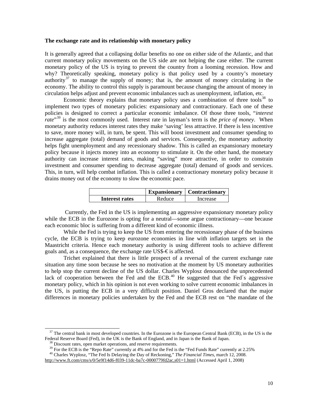## **The exchange rate and its relationship with monetary policy**

It is generally agreed that a collapsing dollar benefits no one on either side of the Atlantic, and that current monetary policy movements on the US side are not helping the case either. The current monetary policy of the US is trying to prevent the country from a looming recession. How and why? Theoretically speaking, monetary policy is that policy used by a country's monetary authority<sup>[37](#page-9-0)</sup> to manage the supply of money; that is, the amount of money circulating in the economy. The ability to control this supply is paramount because changing the amount of money in circulation helps adjust and prevent economic imbalances such as unemployment, inflation, etc.

Economic theory explains that monetary policy uses a combination of three tools $^{38}$  $^{38}$  $^{38}$  to implement two types of monetary policies: expansionary and contractionary. Each one of these policies is designed to correct a particular economic imbalance. Of those three tools, "*interest rate*"[39](#page-9-2) is the most commonly used. Interest rate in layman's term is the *price of money*. When monetary authority reduces interest rates they make 'saving' less attractive. If there is less incentive to save, more money will, in turn, be spent. This will boost investment and consumer spending to increase aggregate (total) demand of goods and services. Consequently, the monetary authority helps fight unemployment and any recessionary shadow. This is called an expansionary monetary policy because it injects money into an economy to stimulate it. On the other hand, the monetary authority can increase interest rates, making "saving" more attractive, in order to constrain investment and consumer spending to decrease aggregate (total) demand of goods and services. This, in turn, will help combat inflation. This is called a contractionary monetary policy because it drains money out of the economy to slow the economic pace.

|                |        | <b>Expansionary</b>   Contractionary |
|----------------|--------|--------------------------------------|
| Interest rates | Reduce | Increase                             |

 Currently, the Fed in the US is implementing an aggressive expansionary monetary policy while the ECB in the Eurozone is opting for a neutral—some argue contractionary—one because each economic bloc is suffering from a different kind of economic illness.

While the Fed is trying to keep the US from entering the recessionary phase of the business cycle, the ECB is trying to keep eurozone economies in line with inflation targets set in the Maastricht criteria. Hence each monetary authority is using different tools to achieve different goals and, as a consequence, the exchange rate US\$- $\epsilon$  is affected.

Trichet explained that there is little prospect of a reversal of the current exchange rate situation any time soon because he sees no motivation at the moment by US monetary authorities to help stop the current decline of the US dollar. Charles Wyplosz denounced the unprecedented lack of cooperation between the Fed and the ECB.<sup>[40](#page-9-3)</sup> He suggested that the Fed $\acute{s}$  aggressive monetary policy, which in his opinion is not even working to solve current economic imbalances in the US, is putting the ECB in a very difficult position. Daniel Gros declared that the major differences in monetary policies undertaken by the Fed and the ECB rest on "the mandate of the

<span id="page-9-0"></span> $37$  The central bank in most developed countries. In the Eurozone is the European Central Bank (ECB), in the US is the Federal Reserve Board (Fed), in the UK is the Bank of England, and in Japan is the Bank of Japan.

 $38$  Discount rates, open market operations, and reserve requirements.

<sup>&</sup>lt;sup>39</sup> For the ECB is the "Repo Rate" currently at 4% and for the Fed is the "Fed Funds Rate" currently at 2.25%

<span id="page-9-3"></span><span id="page-9-2"></span><span id="page-9-1"></span>40 Charles Wyplosz, "The Fed Is Delaying the Day of Reckoning," *The Financial Times*, march 12, 2008.

[http://www.ft.com/cms/s/0/5e9f14d6-f039-11dc-ba7c-0000779fd2ac,s01=1.html](http://www.ft.com/cms/s/0/e995dd30-fa8a-11dc-aa46-000077b07658.html?nclick_check=1) (Accessed April 1, 2008)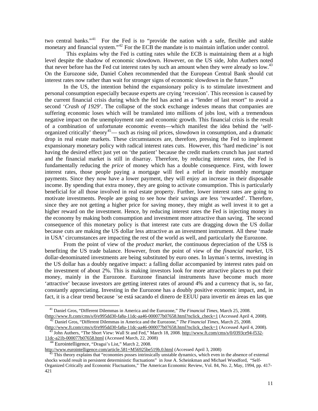two central banks."<sup>[41](#page-10-0)</sup> For the Fed is to "provide the nation with a safe, flexible and stable monetary and financial system."<sup>[42](#page-10-1)</sup> For the ECB the mandate is to maintain inflation under control.

 This explains why the Fed is cutting rates while the ECB is maintaining them at a high level despite the shadow of economic slowdown. However, on the US side, John Authers noted that never before has the Fed cut interest rates by such an amount when they were already so low.<sup>[43](#page-10-2)</sup> On the Eurozone side, Daniel Cohen recommended that the European Central Bank should cut interest rates now rather than wait for stronger signs of economic slowdown in the future.<sup>[44](#page-10-3)</sup>

In the US, the intention behind the expansionary policy is to stimulate investment and personal consumption especially because experts are crying 'recession'. This recession is caused by the current financial crisis during which the fed has acted as a "lender of last resort" to avoid a second '*Crash of 1929*'. The collapse of the stock exchange indexes means that companies are suffering economic loses which will be translated into millions of jobs lost, with a tremendous negative impact on the unemployment rate and economic growth. This financial crisis is the result of a combination of unfortunate economic events—which manifest the idea behind the 'self-organized critically' theory<sup>[45](#page-10-4)</sup>— such as rising oil prices, slowdown in consumption, and a dramatic drop in real estate markets. These circumstances are, therefore, pressing the Fed to implement expansionary monetary policy with radical interest rates cuts. However, this 'hard medicine' is not having the desired effect just yet on 'the patient' because the credit markets crunch has just started and the financial market is still in disarray. Therefore, by reducing interest rates, the Fed is fundamentally reducing the *price* of money which has a double consequence. First, with lower interest rates, those people paying a mortgage will feel a relief in their monthly mortgage payments. Since they now have a lower payment, they will enjoy an increase in their disposable income. By spending that extra money, they are going to activate consumption. This is particularly beneficial for all those involved in real estate property. Further, lower interest rates are going to motivate investments. People are going to see how their savings are less 'rewarded'. Therefore, since they are not getting a higher price for saving money, they might as well invest it to get a higher reward on the investment. Hence, by reducing interest rates the Fed is injecting money in the economy by making both consumption and investment more attractive than saving. The second consequence of this monetary policy is that interest rate cuts are dragging down the US dollar because cuts are making the US dollar less attractive as an investment instrument. All these 'made in USA' circumstances are impacting the rest of the world as well, and particularly the Eurozone.

From the point of view of the *product market*, the continuous depreciation of the US\$ is benefiting the US trade balance. However, from the point of view of the *financial market*, US dollar-denominated investments are being substituted by euro ones. In layman´s terms, investing in the US dollar has a doubly negative impact: a falling dollar accompanied by interest rates paid on the investment of about 2%. This is making investors look for more attractive places to put their money, mainly in the Eurozone. Eurozone financial instruments have become much more 'attractive' because investors are getting interest rates of around 4% and a currency that is, so far, constantly appreciating. Investing in the Eurozone has a doubly positive economic impact, and, in fact, it is a clear trend because ¨se está sacando el dinero de EEUU para invertir en áreas en las que

<span id="page-10-0"></span>41 Daniel Gros, "Different Dilemmas in America and the Eurozone," *The Financial Times*, March 25, 2008. [\(http://www.ft.com/cms/s/0/e995dd30-fa8a-11dc-aa46-000077b07658.html?nclick\\_check=1](http://www.ft.com/cms/s/0/e995dd30-fa8a-11dc-aa46-000077b07658.html?nclick_check=1) (Accessed April 4, 2008).

<span id="page-10-1"></span><sup>42</sup> Daniel Gros, "Different Dilemmas in America and the Eurozone," *The Financial Times*, March 25, 2008. [\(http://www.ft.com/cms/s/0/e995dd30-fa8a-11dc-aa46-000077b07658.html?nclick\\_check=1](http://www.ft.com/cms/s/0/0393ce94-f532-11dc-a21b-000077b07658.html) (Accessed April 4, 2008).

<span id="page-10-2"></span><sup>&</sup>lt;sup>43</sup> John Authers, "The Short View: Wall St and Fed," March 18, 2008. [http://www.ft.com/cms/s/0/0393ce94-f532-](http://www.eurointelligence.com/article.581+M56925be519b.0.html) [11dc-a21b-000077b07658.html](http://www.eurointelligence.com/article.581+M56925be519b.0.html) (Accessed March, 22, 2008)

Eurointelligence, "Dragui's List," March 2, 2008.

<span id="page-10-3"></span>http://www.eurointelligence.com/article.581+M56925be519b.0.html (Accessed April 3, 2008)

<span id="page-10-4"></span>This theory explains that "economies posses intrinsically unstable dynamics, which even in the absence of external shocks would result in persistent deterministic fluctuations" in Jose A. Scheinkman and Michael Woodford, "Self-Organized Critically and Economic Fluctuations," The American Economic Review, Vol. 84, No. 2, May, 1994, pp. 417- 421